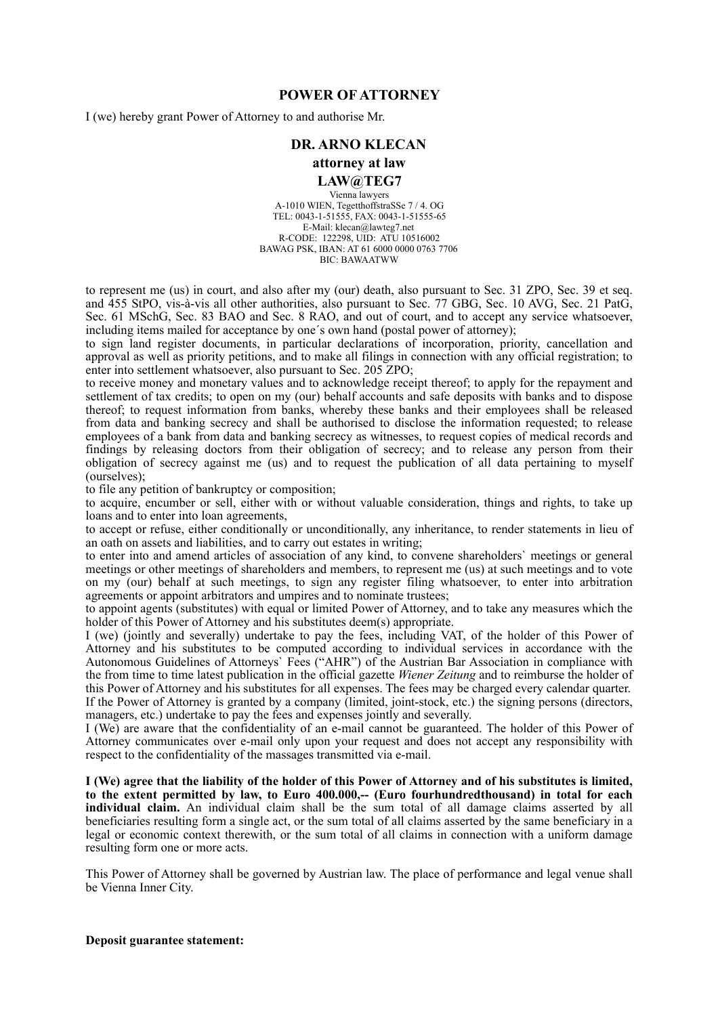## **POWER OF ATTORNEY**

I (we) hereby grant Power of Attorney to and authorise Mr.

## **DR. ARNO KLECAN**

#### **attorney at law**

### **LAW@TEG7**

Vienna lawyers A-1010 WIEN, TegetthoffstraSSe 7 / 4. OG TEL: 0043-1-51555, FAX: 0043-1-51555-65 E-Mail: klecan@lawteg7.net R-CODE: 122298, UID: ATU 10516002 BAWAG PSK, IBAN: AT 61 6000 0000 0763 7706 BIC: BAWAATWW

to represent me (us) in court, and also after my (our) death, also pursuant to Sec. 31 ZPO, Sec. 39 et seq. and 455 StPO, vis-à-vis all other authorities, also pursuant to Sec. 77 GBG, Sec. 10 AVG, Sec. 21 PatG, Sec. 61 MSchG, Sec. 83 BAO and Sec. 8 RAO, and out of court, and to accept any service whatsoever, including items mailed for acceptance by one´s own hand (postal power of attorney);

to sign land register documents, in particular declarations of incorporation, priority, cancellation and approval as well as priority petitions, and to make all filings in connection with any official registration; to enter into settlement whatsoever, also pursuant to Sec. 205 ZPO;

to receive money and monetary values and to acknowledge receipt thereof; to apply for the repayment and settlement of tax credits; to open on my (our) behalf accounts and safe deposits with banks and to dispose thereof; to request information from banks, whereby these banks and their employees shall be released from data and banking secrecy and shall be authorised to disclose the information requested; to release employees of a bank from data and banking secrecy as witnesses, to request copies of medical records and findings by releasing doctors from their obligation of secrecy; and to release any person from their obligation of secrecy against me (us) and to request the publication of all data pertaining to myself (ourselves);

to file any petition of bankruptcy or composition;

to acquire, encumber or sell, either with or without valuable consideration, things and rights, to take up loans and to enter into loan agreements,

to accept or refuse, either conditionally or unconditionally, any inheritance, to render statements in lieu of an oath on assets and liabilities, and to carry out estates in writing;

to enter into and amend articles of association of any kind, to convene shareholders` meetings or general meetings or other meetings of shareholders and members, to represent me (us) at such meetings and to vote on my (our) behalf at such meetings, to sign any register filing whatsoever, to enter into arbitration agreements or appoint arbitrators and umpires and to nominate trustees;

to appoint agents (substitutes) with equal or limited Power of Attorney, and to take any measures which the holder of this Power of Attorney and his substitutes deem(s) appropriate.

I (we) (jointly and severally) undertake to pay the fees, including VAT, of the holder of this Power of Attorney and his substitutes to be computed according to individual services in accordance with the Autonomous Guidelines of Attorneys' Fees ("AHR") of the Austrian Bar Association in compliance with the from time to time latest publication in the official gazette *Wiener Zeitung* and to reimburse the holder of this Power of Attorney and his substitutes for all expenses. The fees may be charged every calendar quarter. If the Power of Attorney is granted by a company (limited, joint-stock, etc.) the signing persons (directors, managers, etc.) undertake to pay the fees and expenses jointly and severally.

I (We) are aware that the confidentiality of an e-mail cannot be guaranteed. The holder of this Power of Attorney communicates over e-mail only upon your request and does not accept any responsibility with respect to the confidentiality of the massages transmitted via e-mail.

**I (We) agree that the liability of the holder of this Power of Attorney and of his substitutes is limited, to the extent permitted by law, to Euro 400.000,-- (Euro fourhundredthousand) in total for each individual claim.** An individual claim shall be the sum total of all damage claims asserted by all beneficiaries resulting form a single act, or the sum total of all claims asserted by the same beneficiary in a legal or economic context therewith, or the sum total of all claims in connection with a uniform damage resulting form one or more acts.

This Power of Attorney shall be governed by Austrian law. The place of performance and legal venue shall be Vienna Inner City.

**Deposit guarantee statement:**